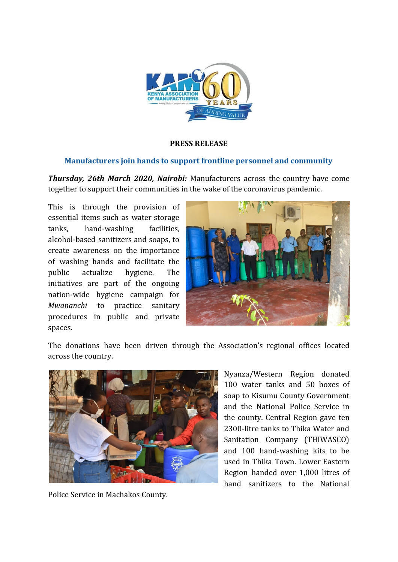

#### **PRESS RELEASE**

# **Manufacturers join hands to support frontline personnel and community**

*Thursday, 26th March 2020, Nairobi:* Manufacturers across the country have come together to support their communities in the wake of the coronavirus pandemic.

This is through the provision of essential items such as water storage tanks, hand-washing facilities, alcohol-based sanitizers and soaps, to create awareness on the importance of washing hands and facilitate the public actualize hygiene. The initiatives are part of the ongoing nation-wide hygiene campaign for *Mwananchi* to practice sanitary procedures in public and private spaces.



The donations have been driven through the Association's regional offices located across the country.



Police Service in Machakos County.

Nyanza/Western Region donated 100 water tanks and 50 boxes of soap to Kisumu County Government and the National Police Service in the county. Central Region gave ten 2300-litre tanks to Thika Water and Sanitation Company (THIWASCO) and 100 hand-washing kits to be used in Thika Town. Lower Eastern Region handed over 1,000 litres of hand sanitizers to the National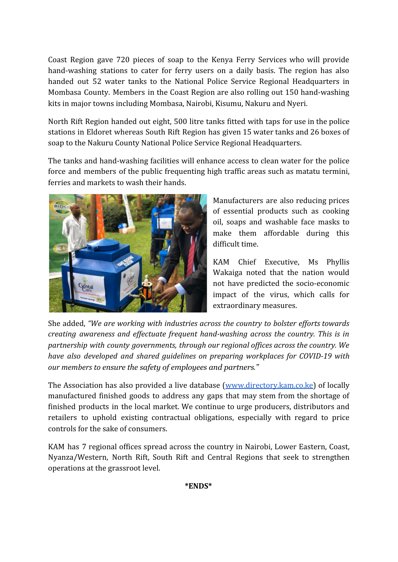Coast Region gave 720 pieces of soap to the Kenya Ferry Services who will provide hand-washing stations to cater for ferry users on a daily basis. The region has also handed out 52 water tanks to the National Police Service Regional Headquarters in Mombasa County. Members in the Coast Region are also rolling out 150 hand-washing kits in major towns including Mombasa, Nairobi, Kisumu, Nakuru and Nyeri.

North Rift Region handed out eight, 500 litre tanks fitted with taps for use in the police stations in Eldoret whereas South Rift Region has given 15 water tanks and 26 boxes of soap to the Nakuru County National Police Service Regional Headquarters.

The tanks and hand-washing facilities will enhance access to clean water for the police force and members of the public frequenting high traffic areas such as matatu termini, ferries and markets to wash their hands.



Manufacturers are also reducing prices of essential products such as cooking oil, soaps and washable face masks to make them affordable during this difficult time.

KAM Chief Executive, Ms Phyllis Wakaiga noted that the nation would not have predicted the socio-economic impact of the virus, which calls for extraordinary measures.

She added, *"We are working with industries across the country to bolster efforts towards creating awareness and effectuate frequent hand-washing across the country. This is in partnership with county governments, through our regional offices across the country. We have also developed and shared guidelines on preparing workplaces for COVID-19 with our members to ensure the safety of employees and partners."*

The Association has also provided a live database ([www.directory.kam.co.ke](http://www.directory.kam.co.ke/)) of locally manufactured finished goods to address any gaps that may stem from the shortage of finished products in the local market. We continue to urge producers, distributors and retailers to uphold existing contractual obligations, especially with regard to price controls for the sake of consumers.

KAM has 7 regional offices spread across the country in Nairobi, Lower Eastern, Coast, Nyanza/Western, North Rift, South Rift and Central Regions that seek to strengthen operations at the grassroot level.